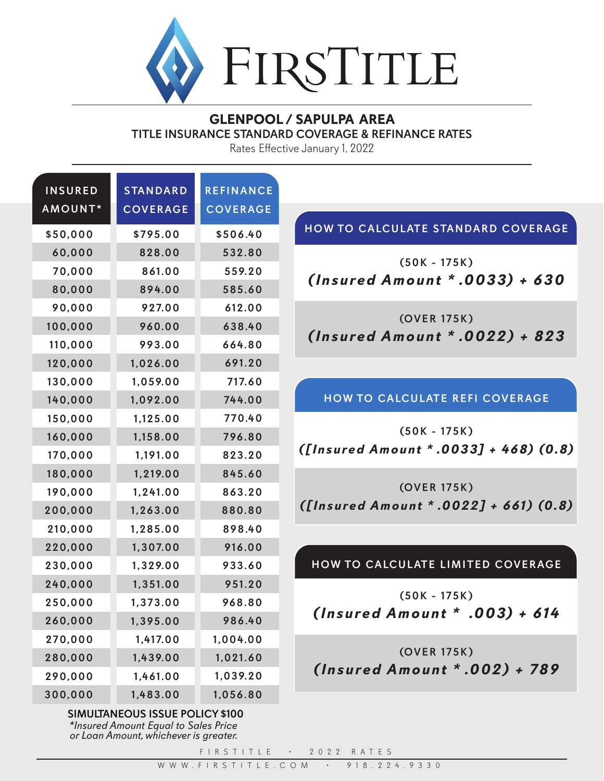

## **GLENPOOL / SAPULPA AREA** TITLE INSURANCE STANDARD COVERAGE & REFINANCE RATES

Rates Effective January 1, 2022

|                                           | REFINANCE       | <b>STANDARD</b> | <b>INSURED</b> |
|-------------------------------------------|-----------------|-----------------|----------------|
|                                           | <b>COVERAGE</b> | <b>COVERAGE</b> | AMOUNT*        |
| HOW TO CALCULATE STANDARD COVERAGE        | \$506.40        | \$795.00        | \$50,000       |
|                                           | 532.80          | 828.00          | 60,000         |
| $(50K - 175K)$                            | 559.20          | 861.00          | 70,000         |
| $(Insured Amount * .0033) + 630$          | 585.60          | 894.00          | 80,000         |
|                                           | 612.00          | 927.00          | 90,000         |
| (OVER 175K)                               | 638.40          | 960.00          | 100,000        |
| $(Insured Amount * .0022) + 823$          | 664.80          | 993.00          | 110,000        |
|                                           | 691.20          | 1,026.00        | 120,000        |
|                                           | 717.60          | 1,059.00        | 130,000        |
| HOW TO CALCULATE REFI COVERAGE            | 744.00          | 1,092.00        | 140,000        |
|                                           | 770.40          | 1,125.00        | 150,000        |
| $(50K - 175K)$                            | 796.80          | 1,158.00        | 160,000        |
| ([Insured Amount * .0033] + 468) (0.8)    | 823.20          | 1,191.00        | 170,000        |
|                                           | 845.60          | 1,219.00        | 180,000        |
| (OVER 175K)                               | 863.20          | 1,241.00        | 190,000        |
| $( [Insured Amount * .0022] + 661) (0.8)$ | 880.80          | 1,263.00        | 200,000        |
|                                           | 898.40          | 1,285.00        | 210,000        |
|                                           | 916.00          | 1,307.00        | 220,000        |
| HOW TO CALCULATE LIMITED COVERAGE         | 933.60          | 1,329.00        | 230,000        |
|                                           | 951.20          | 1,351.00        | 240,000        |
| $(50K - 175K)$                            | 968.80          | 1,373.00        | 250,000        |
| (Insured Amount * .003) + 614             | 986.40          | 1,395.00        | 260,000        |
|                                           | 1,004.00        | 1,417.00        | 270,000        |
| (OVER 175K)                               | 1,021.60        | 1,439.00        | 280,000        |
| (Insured Amount * .002) + 789             | 1,039.20        | 1,461.00        | 290,000        |
|                                           | 1,056.80        | 1,483.00        | 300,000        |

*\*Insured Amount Equal to Sales Price or Loan Amount, whichever is greater.* SIMULTANEOUS ISSUE POLICY \$100

FIRSTITLE • 2022 RATES